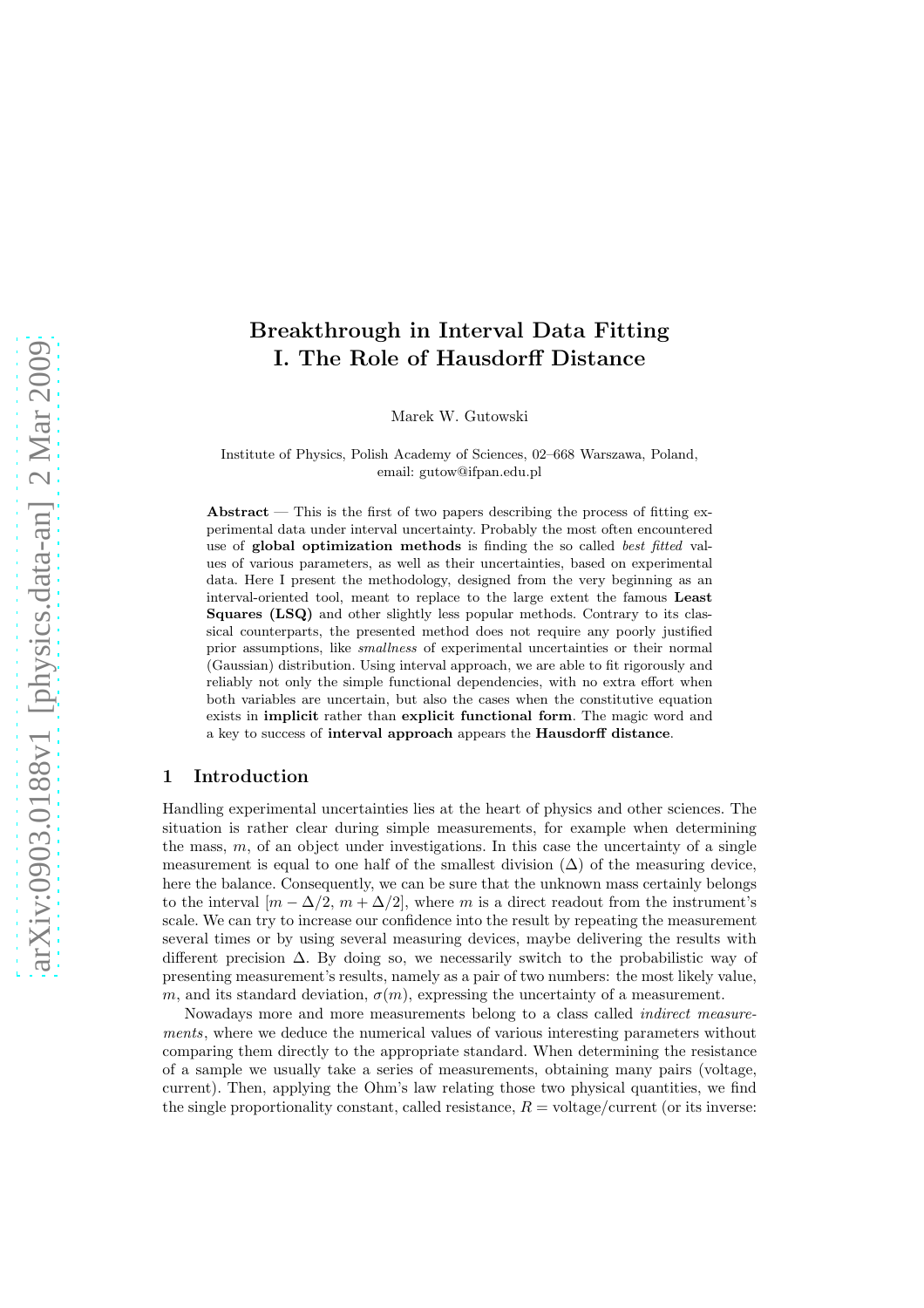# Breakthrough in Interval Data Fitting I. The Role of Hausdorff Distance

Marek W. Gutowski

Institute of Physics, Polish Academy of Sciences, 02–668 Warszawa, Poland, email: gutow@ifpan.edu.pl

Abstract — This is the first of two papers describing the process of fitting experimental data under interval uncertainty. Probably the most often encountered use of global optimization methods is finding the so called best fitted values of various parameters, as well as their uncertainties, based on experimental data. Here I present the methodology, designed from the very beginning as an interval-oriented tool, meant to replace to the large extent the famous Least Squares (LSQ) and other slightly less popular methods. Contrary to its classical counterparts, the presented method does not require any poorly justified prior assumptions, like smallness of experimental uncertainties or their normal (Gaussian) distribution. Using interval approach, we are able to fit rigorously and reliably not only the simple functional dependencies, with no extra effort when both variables are uncertain, but also the cases when the constitutive equation exists in implicit rather than explicit functional form. The magic word and a key to success of interval approach appears the Hausdorff distance.

### 1 Introduction

Handling experimental uncertainties lies at the heart of physics and other sciences. The situation is rather clear during simple measurements, for example when determining the mass,  $m$ , of an object under investigations. In this case the uncertainty of a single measurement is equal to one half of the smallest division  $(\Delta)$  of the measuring device, here the balance. Consequently, we can be sure that the unknown mass certainly belongs to the interval  $[m - \Delta/2, m + \Delta/2]$ , where m is a direct readout from the instrument's scale. We can try to increase our confidence into the result by repeating the measurement several times or by using several measuring devices, maybe delivering the results with different precision  $\Delta$ . By doing so, we necessarily switch to the probabilistic way of presenting measurement's results, namely as a pair of two numbers: the most likely value, m, and its standard deviation,  $\sigma(m)$ , expressing the uncertainty of a measurement.

Nowadays more and more measurements belong to a class called indirect measurements, where we deduce the numerical values of various interesting parameters without comparing them directly to the appropriate standard. When determining the resistance of a sample we usually take a series of measurements, obtaining many pairs (voltage, current). Then, applying the Ohm's law relating those two physical quantities, we find the single proportionality constant, called resistance,  $R = \text{voltage/current}$  (or its inverse: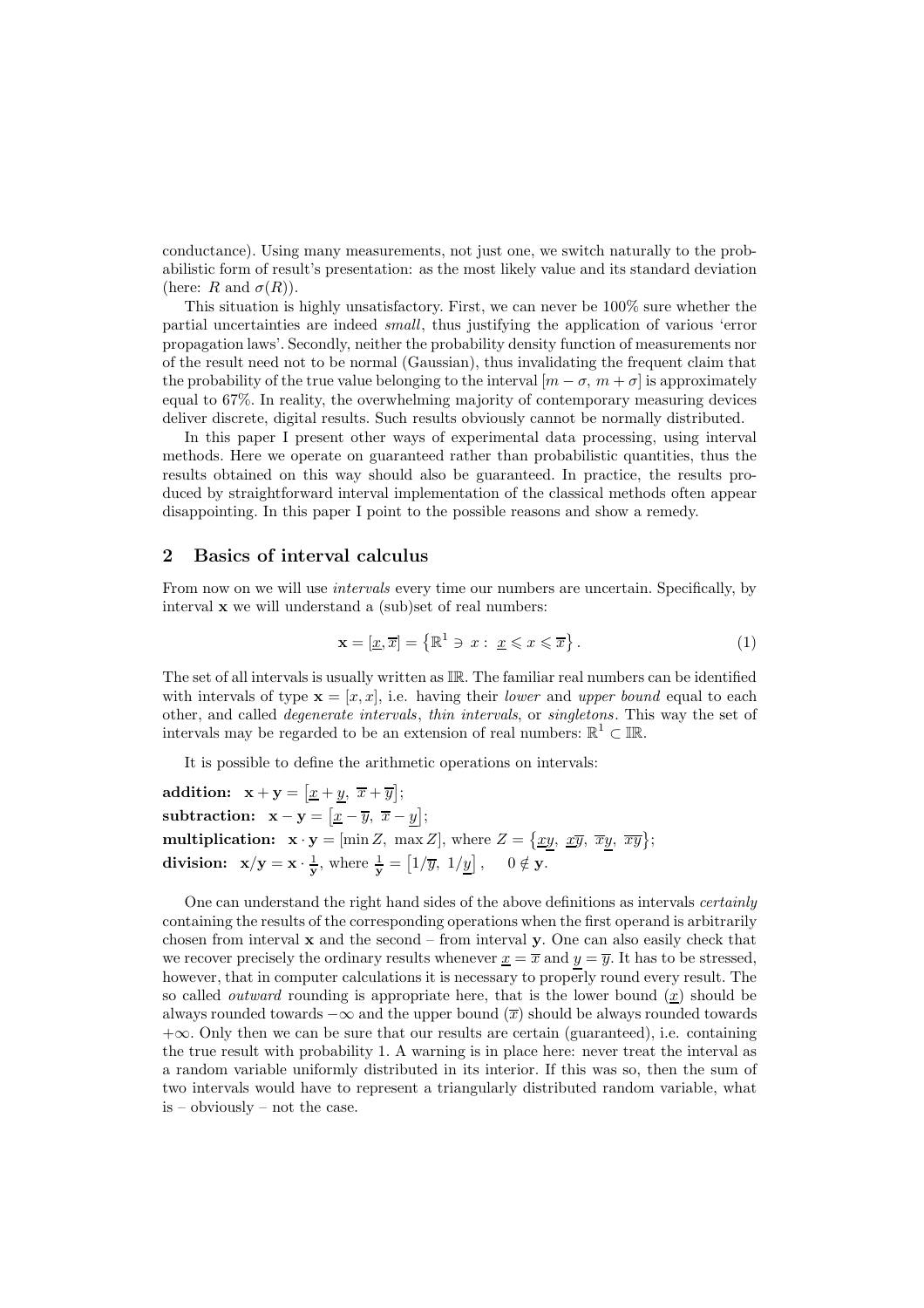conductance). Using many measurements, not just one, we switch naturally to the probabilistic form of result's presentation: as the most likely value and its standard deviation (here: R and  $\sigma(R)$ ).

This situation is highly unsatisfactory. First, we can never be 100% sure whether the partial uncertainties are indeed small, thus justifying the application of various 'error propagation laws'. Secondly, neither the probability density function of measurements nor of the result need not to be normal (Gaussian), thus invalidating the frequent claim that the probability of the true value belonging to the interval  $[m - \sigma, m + \sigma]$  is approximately equal to 67%. In reality, the overwhelming majority of contemporary measuring devices deliver discrete, digital results. Such results obviously cannot be normally distributed.

In this paper I present other ways of experimental data processing, using interval methods. Here we operate on guaranteed rather than probabilistic quantities, thus the results obtained on this way should also be guaranteed. In practice, the results produced by straightforward interval implementation of the classical methods often appear disappointing. In this paper I point to the possible reasons and show a remedy.

## 2 Basics of interval calculus

From now on we will use *intervals* every time our numbers are uncertain. Specifically, by interval x we will understand a (sub)set of real numbers:

$$
\mathbf{x} = [\underline{x}, \overline{x}] = \left\{ \mathbb{R}^1 \ni x : \underline{x} \leqslant x \leqslant \overline{x} \right\}. \tag{1}
$$

The set of all intervals is usually written as IR. The familiar real numbers can be identified with intervals of type  $\mathbf{x} = [x, x]$ , i.e. having their lower and upper bound equal to each other, and called degenerate intervals, thin intervals, or singletons. This way the set of intervals may be regarded to be an extension of real numbers:  $\mathbb{R}^1 \subset \mathbb{IR}$ .

It is possible to define the arithmetic operations on intervals:

addition:  $\mathbf{x} + \mathbf{y} = [\underline{x} + y, \ \overline{x} + \overline{y}];$ subtraction:  $\mathbf{x} - \mathbf{y} = [\underline{x} - \overline{y}, \ \overline{x} - y];$ multiplication:  $\mathbf{x} \cdot \mathbf{y} = [\min Z, \ \max Z], \text{ where } Z = \{ \underline{xy}, \ \underline{x}\overline{y}, \ \overline{x}\overline{y}, \ \overline{xy} \};$ division:  $x/y = x \cdot \frac{1}{x}$  $\frac{1}{y}$ , where  $\frac{1}{y} = \left[1/\overline{y}, 1/\underline{y}\right]$ ,  $0 \notin y$ .

One can understand the right hand sides of the above definitions as intervals certainly containing the results of the corresponding operations when the first operand is arbitrarily chosen from interval  $x$  and the second – from interval  $y$ . One can also easily check that we recover precisely the ordinary results whenever  $x = \overline{x}$  and  $y = \overline{y}$ . It has to be stressed, however, that in computer calculations it is necessary to properly round every result. The so called *outward* rounding is appropriate here, that is the lower bound  $(x)$  should be always rounded towards  $-\infty$  and the upper bound  $(\overline{x})$  should be always rounded towards  $+\infty$ . Only then we can be sure that our results are certain (guaranteed), i.e. containing the true result with probability 1. A warning is in place here: never treat the interval as a random variable uniformly distributed in its interior. If this was so, then the sum of two intervals would have to represent a triangularly distributed random variable, what is – obviously – not the case.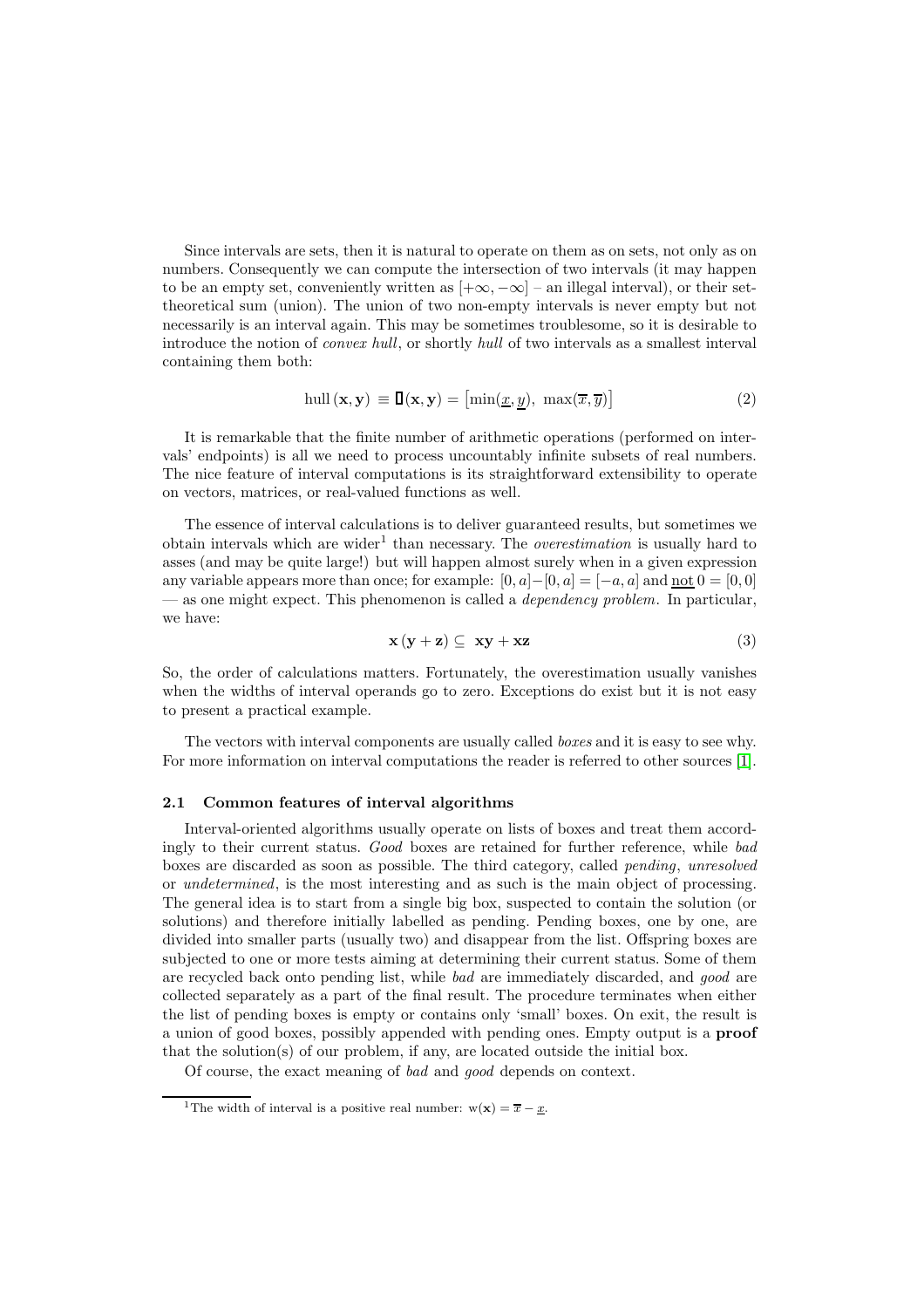Since intervals are sets, then it is natural to operate on them as on sets, not only as on numbers. Consequently we can compute the intersection of two intervals (it may happen to be an empty set, conveniently written as  $[+\infty, -\infty]$  – an illegal interval), or their settheoretical sum (union). The union of two non-empty intervals is never empty but not necessarily is an interval again. This may be sometimes troublesome, so it is desirable to introduce the notion of convex hull, or shortly hull of two intervals as a smallest interval containing them both:

$$
\text{hull}(\mathbf{x}, \mathbf{y}) \equiv \mathbf{I}(\mathbf{x}, \mathbf{y}) = [\min(\underline{x}, y), \ \max(\overline{x}, \overline{y})]
$$
(2)

It is remarkable that the finite number of arithmetic operations (performed on intervals' endpoints) is all we need to process uncountably infinite subsets of real numbers. The nice feature of interval computations is its straightforward extensibility to operate on vectors, matrices, or real-valued functions as well.

The essence of interval calculations is to deliver guaranteed results, but sometimes we obtain intervals which are wider<sup>1</sup> than necessary. The *overestimation* is usually hard to asses (and may be quite large!) but will happen almost surely when in a given expression any variable appears more than once; for example:  $[0, a] - [0, a] = [-a, a]$  and  $\underline{\text{not}} 0 = [0, 0]$ — as one might expect. This phenomenon is called a *dependency problem*. In particular, we have:

$$
\mathbf{x}\left(\mathbf{y}+\mathbf{z}\right) \subseteq \mathbf{xy} + \mathbf{xz} \tag{3}
$$

So, the order of calculations matters. Fortunately, the overestimation usually vanishes when the widths of interval operands go to zero. Exceptions do exist but it is not easy to present a practical example.

The vectors with interval components are usually called *boxes* and it is easy to see why. For more information on interval computations the reader is referred to other sources [\[1\]](#page-8-0).

#### 2.1 Common features of interval algorithms

Interval-oriented algorithms usually operate on lists of boxes and treat them accordingly to their current status. Good boxes are retained for further reference, while bad boxes are discarded as soon as possible. The third category, called pending, unresolved or undetermined, is the most interesting and as such is the main object of processing. The general idea is to start from a single big box, suspected to contain the solution (or solutions) and therefore initially labelled as pending. Pending boxes, one by one, are divided into smaller parts (usually two) and disappear from the list. Offspring boxes are subjected to one or more tests aiming at determining their current status. Some of them are recycled back onto pending list, while bad are immediately discarded, and good are collected separately as a part of the final result. The procedure terminates when either the list of pending boxes is empty or contains only 'small' boxes. On exit, the result is a union of good boxes, possibly appended with pending ones. Empty output is a proof that the solution(s) of our problem, if any, are located outside the initial box.

Of course, the exact meaning of bad and good depends on context.

<sup>&</sup>lt;sup>1</sup>The width of interval is a positive real number:  $w(\mathbf{x}) = \overline{x} - x$ .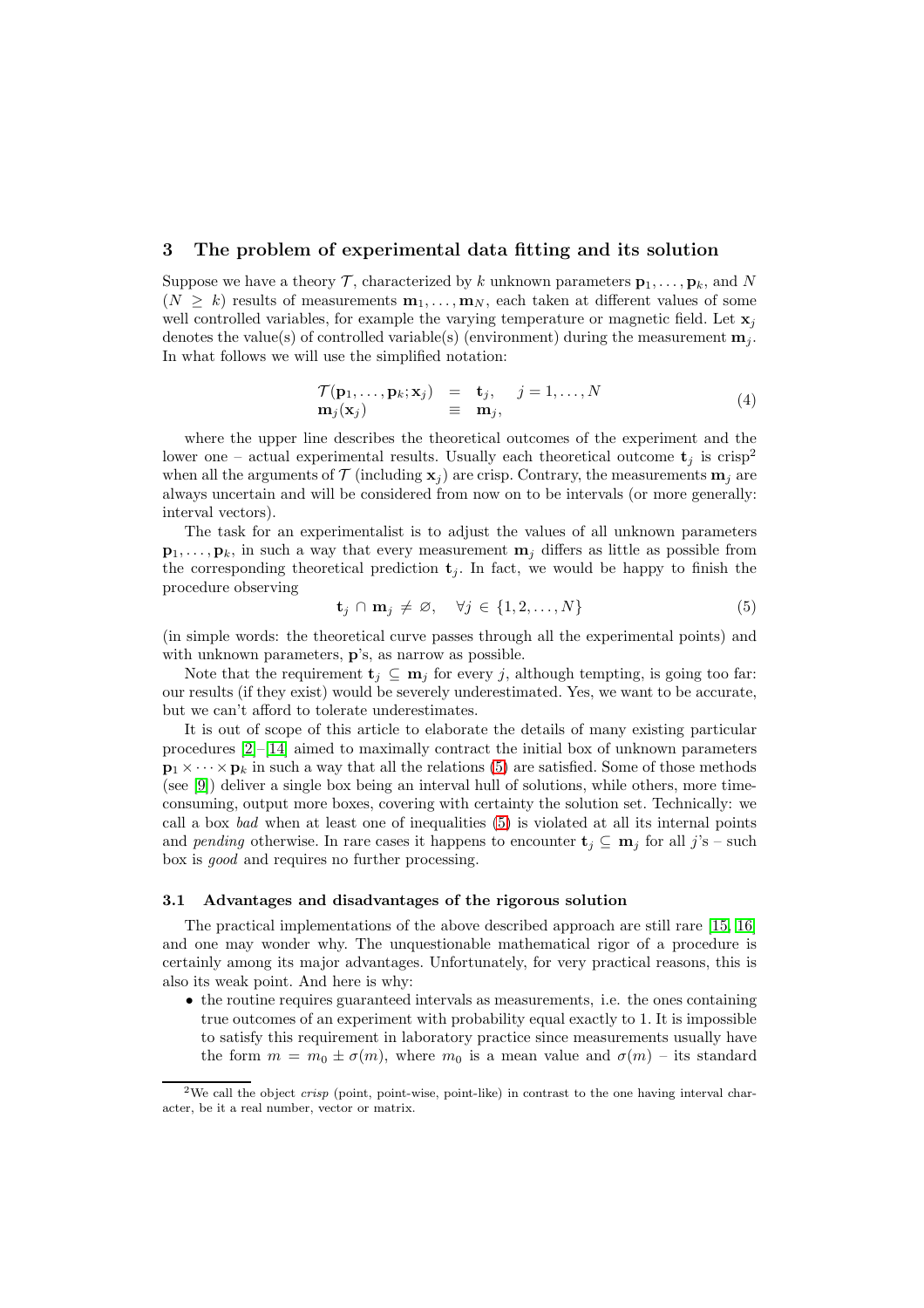### 3 The problem of experimental data fitting and its solution

Suppose we have a theory  $\mathcal T$ , characterized by k unknown parameters  $\mathbf p_1, \ldots, \mathbf p_k$ , and N  $(N > k)$  results of measurements  $\mathbf{m}_1, \ldots, \mathbf{m}_N$ , each taken at different values of some well controlled variables, for example the varying temperature or magnetic field. Let  $x_i$ denotes the value(s) of controlled variable(s) (environment) during the measurement  $\mathbf{m}_i$ . In what follows we will use the simplified notation:

$$
\begin{array}{rcl}\n\mathcal{T}(\mathbf{p}_1, \dots, \mathbf{p}_k; \mathbf{x}_j) & = & \mathbf{t}_j, \quad j = 1, \dots, N \\
\mathbf{m}_j(\mathbf{x}_j) & \equiv & \mathbf{m}_j,\n\end{array} \tag{4}
$$

where the upper line describes the theoretical outcomes of the experiment and the lower one – actual experimental results. Usually each theoretical outcome  $t_i$  is crisp<sup>2</sup> when all the arguments of  $\mathcal T$  (including  $\mathbf x_i$ ) are crisp. Contrary, the measurements  $\mathbf m_i$  are always uncertain and will be considered from now on to be intervals (or more generally: interval vectors).

The task for an experimentalist is to adjust the values of all unknown parameters  $\mathbf{p}_1, \ldots, \mathbf{p}_k$ , in such a way that every measurement  $\mathbf{m}_j$  differs as little as possible from the corresponding theoretical prediction  $t_i$ . In fact, we would be happy to finish the procedure observing

<span id="page-3-0"></span>
$$
\mathbf{t}_j \cap \mathbf{m}_j \neq \varnothing, \quad \forall j \in \{1, 2, \dots, N\} \tag{5}
$$

(in simple words: the theoretical curve passes through all the experimental points) and with unknown parameters, p's, as narrow as possible.

Note that the requirement  $\mathbf{t}_i \subseteq \mathbf{m}_i$  for every j, although tempting, is going too far: our results (if they exist) would be severely underestimated. Yes, we want to be accurate, but we can't afford to tolerate underestimates.

It is out of scope of this article to elaborate the details of many existing particular procedures [\[2\]](#page-9-0)–[\[14\]](#page-9-1) aimed to maximally contract the initial box of unknown parameters  $\mathbf{p}_1 \times \cdots \times \mathbf{p}_k$  in such a way that all the relations [\(5\)](#page-3-0) are satisfied. Some of those methods (see [\[9\]](#page-9-2)) deliver a single box being an interval hull of solutions, while others, more timeconsuming, output more boxes, covering with certainty the solution set. Technically: we call a box bad when at least one of inequalities [\(5\)](#page-3-0) is violated at all its internal points and pending otherwise. In rare cases it happens to encounter  $\mathbf{t}_i \subseteq \mathbf{m}_i$  for all j's – such box is good and requires no further processing.

#### <span id="page-3-1"></span>3.1 Advantages and disadvantages of the rigorous solution

The practical implementations of the above described approach are still rare [\[15,](#page-9-3) [16\]](#page-9-4) and one may wonder why. The unquestionable mathematical rigor of a procedure is certainly among its major advantages. Unfortunately, for very practical reasons, this is also its weak point. And here is why:

• the routine requires guaranteed intervals as measurements, i.e. the ones containing true outcomes of an experiment with probability equal exactly to 1. It is impossible to satisfy this requirement in laboratory practice since measurements usually have the form  $m = m_0 \pm \sigma(m)$ , where  $m_0$  is a mean value and  $\sigma(m)$  – its standard

<sup>&</sup>lt;sup>2</sup>We call the object *crisp* (point, point-wise, point-like) in contrast to the one having interval character, be it a real number, vector or matrix.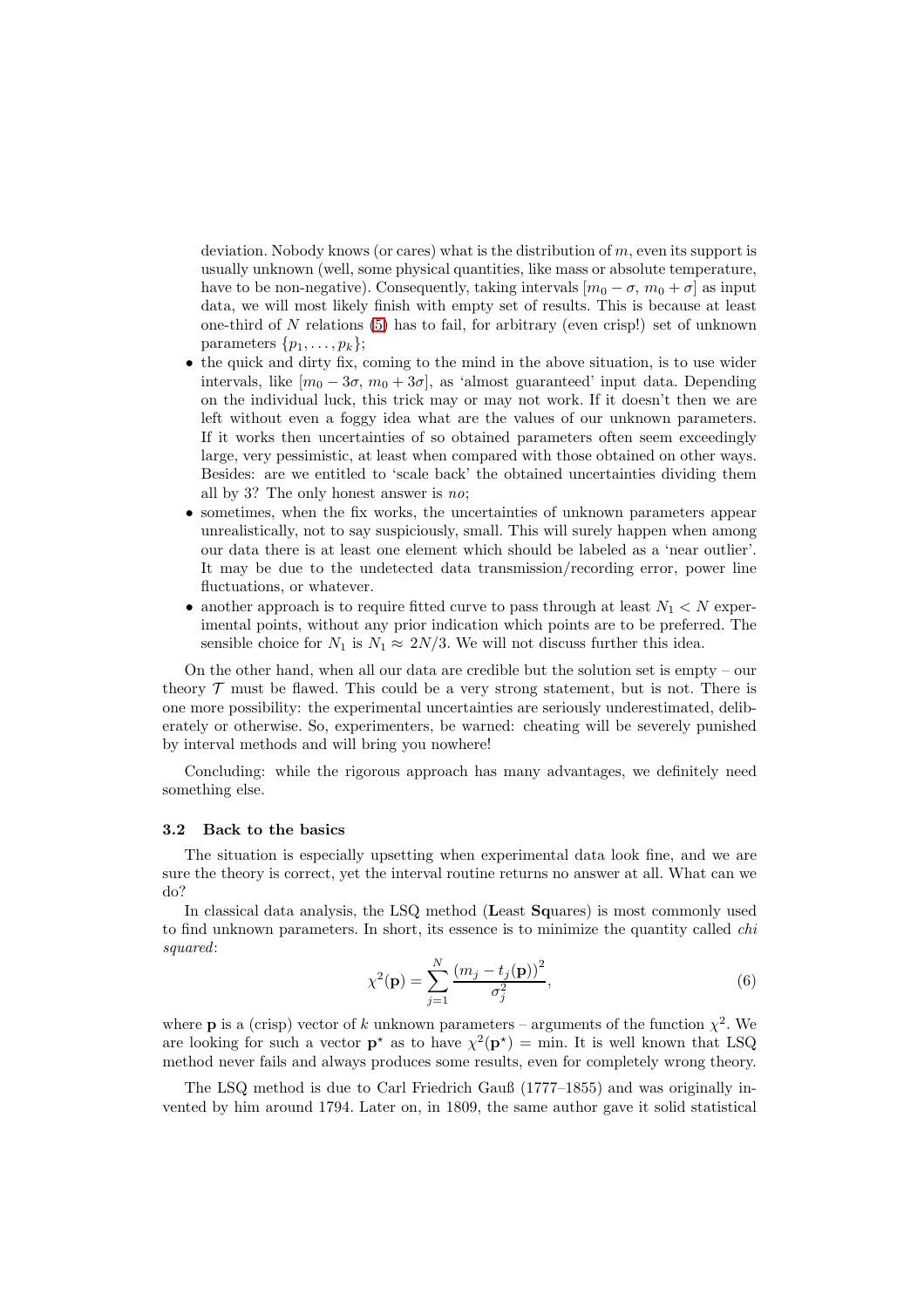deviation. Nobody knows (or cares) what is the distribution of  $m$ , even its support is usually unknown (well, some physical quantities, like mass or absolute temperature, have to be non-negative). Consequently, taking intervals  $[m_0 - \sigma, m_0 + \sigma]$  as input data, we will most likely finish with empty set of results. This is because at least one-third of  $N$  relations [\(5\)](#page-3-0) has to fail, for arbitrary (even crisp!) set of unknown parameters  $\{p_1, \ldots, p_k\};$ 

- the quick and dirty fix, coming to the mind in the above situation, is to use wider intervals, like  $[m_0 - 3\sigma, m_0 + 3\sigma]$ , as 'almost guaranteed' input data. Depending on the individual luck, this trick may or may not work. If it doesn't then we are left without even a foggy idea what are the values of our unknown parameters. If it works then uncertainties of so obtained parameters often seem exceedingly large, very pessimistic, at least when compared with those obtained on other ways. Besides: are we entitled to 'scale back' the obtained uncertainties dividing them all by 3? The only honest answer is no;
- sometimes, when the fix works, the uncertainties of unknown parameters appear unrealistically, not to say suspiciously, small. This will surely happen when among our data there is at least one element which should be labeled as a 'near outlier'. It may be due to the undetected data transmission/recording error, power line fluctuations, or whatever.
- another approach is to require fitted curve to pass through at least  $N_1 < N$  experimental points, without any prior indication which points are to be preferred. The sensible choice for  $N_1$  is  $N_1 \approx 2N/3$ . We will not discuss further this idea.

On the other hand, when all our data are credible but the solution set is empty – our theory  $\mathcal T$  must be flawed. This could be a very strong statement, but is not. There is one more possibility: the experimental uncertainties are seriously underestimated, deliberately or otherwise. So, experimenters, be warned: cheating will be severely punished by interval methods and will bring you nowhere!

Concluding: while the rigorous approach has many advantages, we definitely need something else.

#### 3.2 Back to the basics

The situation is especially upsetting when experimental data look fine, and we are sure the theory is correct, yet the interval routine returns no answer at all. What can we do?

In classical data analysis, the LSQ method (Least Squares) is most commonly used to find unknown parameters. In short, its essence is to minimize the quantity called *chi* squared:

<span id="page-4-0"></span>
$$
\chi^{2}(\mathbf{p}) = \sum_{j=1}^{N} \frac{(m_{j} - t_{j}(\mathbf{p}))^{2}}{\sigma_{j}^{2}},
$$
\n(6)

where **p** is a (crisp) vector of k unknown parameters – arguments of the function  $\chi^2$ . We are looking for such a vector  $\mathbf{p}^*$  as to have  $\chi^2(\mathbf{p}^*)$  = min. It is well known that LSQ method never fails and always produces some results, even for completely wrong theory.

The LSQ method is due to Carl Friedrich Gauß (1777–1855) and was originally invented by him around 1794. Later on, in 1809, the same author gave it solid statistical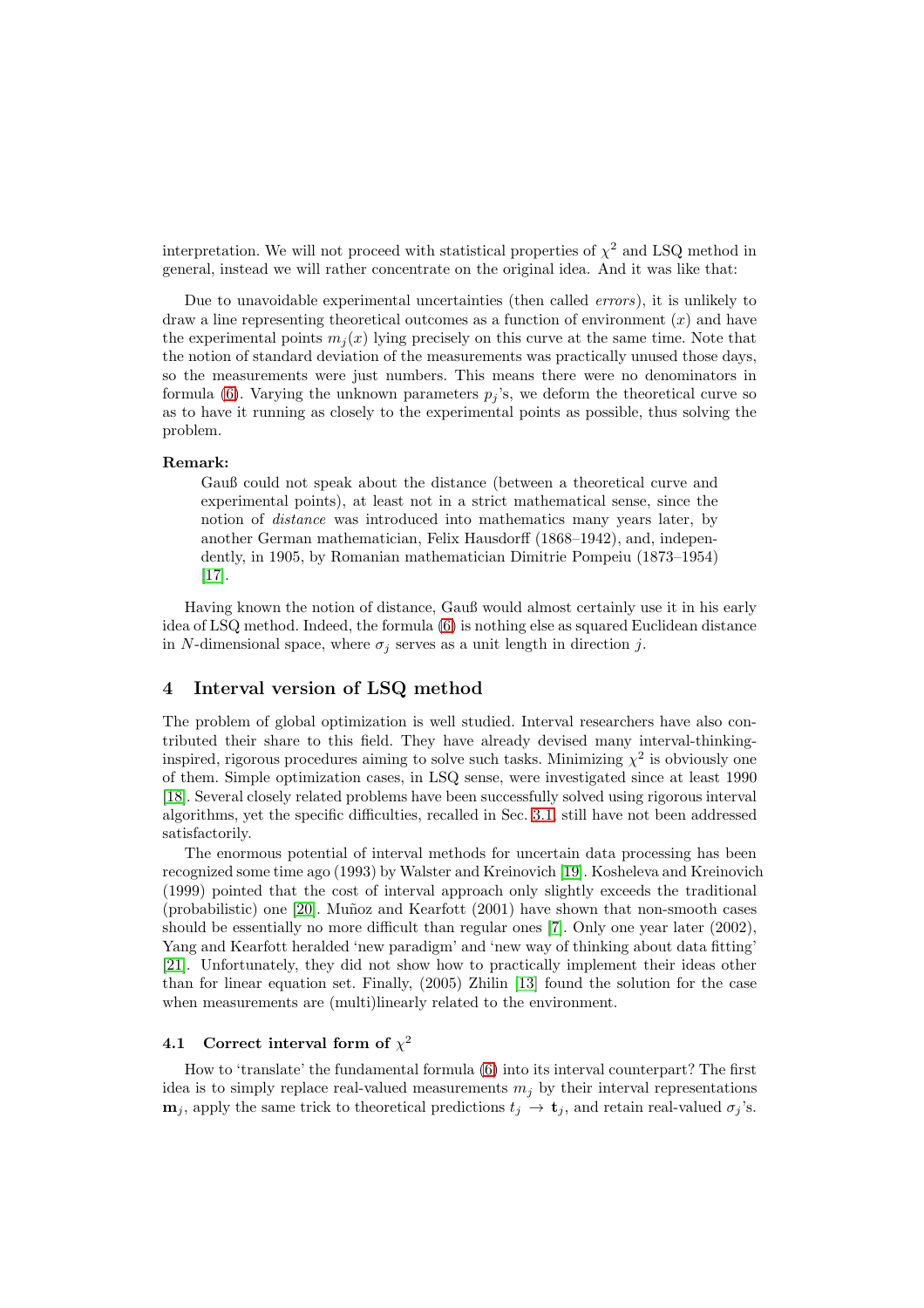interpretation. We will not proceed with statistical properties of  $\chi^2$  and LSQ method in general, instead we will rather concentrate on the original idea. And it was like that:

Due to unavoidable experimental uncertainties (then called errors), it is unlikely to draw a line representing theoretical outcomes as a function of environment  $(x)$  and have the experimental points  $m_i(x)$  lying precisely on this curve at the same time. Note that the notion of standard deviation of the measurements was practically unused those days, so the measurements were just numbers. This means there were no denominators in formula [\(6\)](#page-4-0). Varying the unknown parameters  $p_i$ 's, we deform the theoretical curve so as to have it running as closely to the experimental points as possible, thus solving the problem.

#### Remark:

Gauß could not speak about the distance (between a theoretical curve and experimental points), at least not in a strict mathematical sense, since the notion of distance was introduced into mathematics many years later, by another German mathematician, Felix Hausdorff (1868–1942), and, independently, in 1905, by Romanian mathematician Dimitrie Pompeiu (1873–1954) [\[17\]](#page-10-0).

Having known the notion of distance, Gauß would almost certainly use it in his early idea of LSQ method. Indeed, the formula [\(6\)](#page-4-0) is nothing else as squared Euclidean distance in N-dimensional space, where  $\sigma_j$  serves as a unit length in direction j.

## 4 Interval version of LSQ method

The problem of global optimization is well studied. Interval researchers have also contributed their share to this field. They have already devised many interval-thinkinginspired, rigorous procedures aiming to solve such tasks. Minimizing  $\chi^2$  is obviously one of them. Simple optimization cases, in LSQ sense, were investigated since at least 1990 [\[18\]](#page-10-1). Several closely related problems have been successfully solved using rigorous interval algorithms, yet the specific difficulties, recalled in Sec. [3.1,](#page-3-1) still have not been addressed satisfactorily.

The enormous potential of interval methods for uncertain data processing has been recognized some time ago (1993) by Walster and Kreinovich [\[19\]](#page-10-2). Kosheleva and Kreinovich (1999) pointed that the cost of interval approach only slightly exceeds the traditional (probabilistic) one [\[20\]](#page-10-3). Mu˜noz and Kearfott (2001) have shown that non-smooth cases should be essentially no more difficult than regular ones [\[7\]](#page-9-5). Only one year later (2002), Yang and Kearfott heralded 'new paradigm' and 'new way of thinking about data fitting' [\[21\]](#page-10-4). Unfortunately, they did not show how to practically implement their ideas other than for linear equation set. Finally, (2005) Zhilin [\[13\]](#page-9-6) found the solution for the case when measurements are (multi)linearly related to the environment.

# 4.1 Correct interval form of  $\chi^2$

How to 'translate' the fundamental formula [\(6\)](#page-4-0) into its interval counterpart? The first idea is to simply replace real-valued measurements  $m_j$  by their interval representations  $\mathbf{m}_j$ , apply the same trick to theoretical predictions  $t_j \to \mathbf{t}_j$ , and retain real-valued  $\sigma_j$ 's.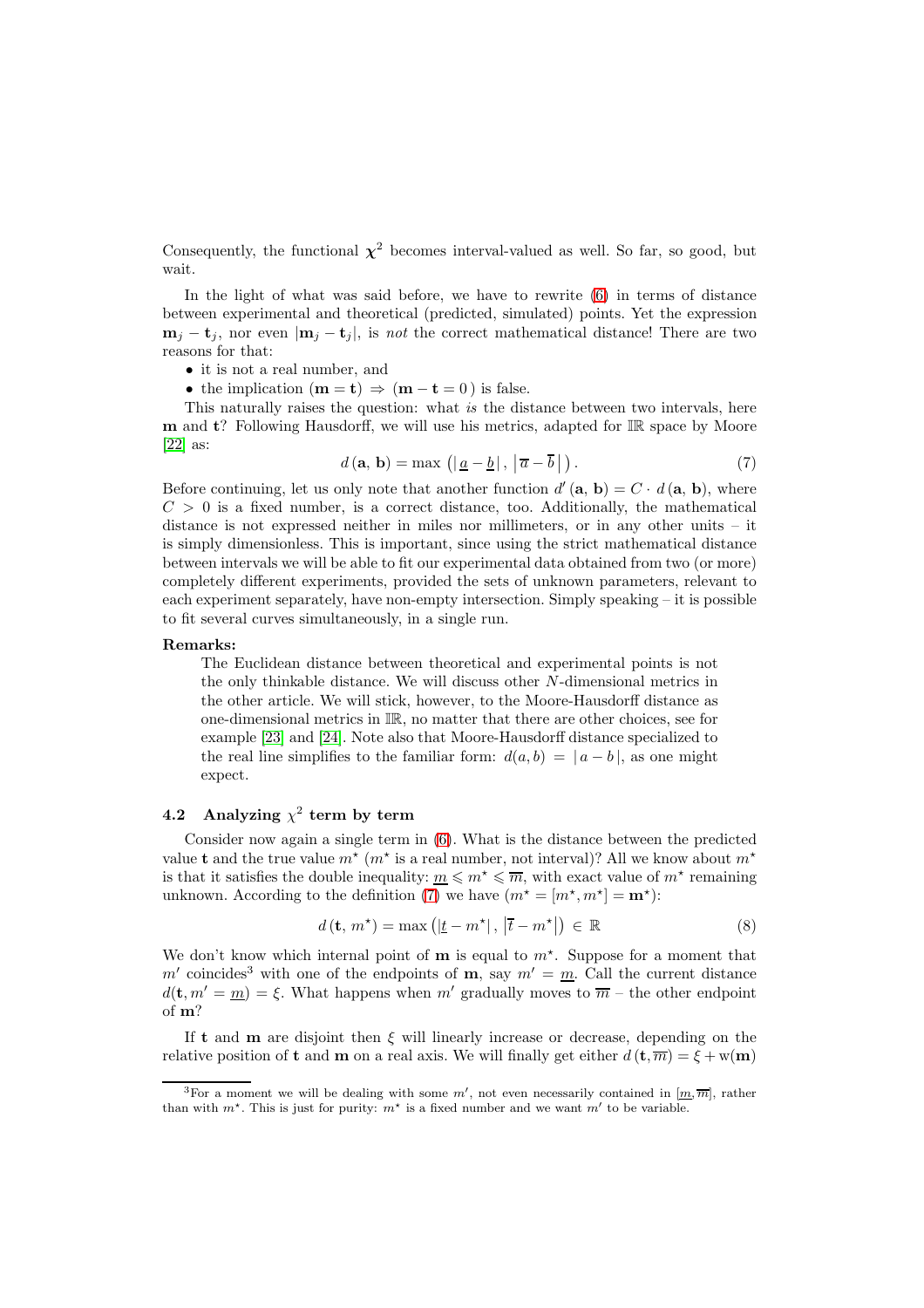Consequently, the functional  $\chi^2$  becomes interval-valued as well. So far, so good, but wait.

In the light of what was said before, we have to rewrite [\(6\)](#page-4-0) in terms of distance between experimental and theoretical (predicted, simulated) points. Yet the expression  $m_i - t_i$ , nor even  $|m_i - t_i|$ , is not the correct mathematical distance! There are two reasons for that:

• it is not a real number, and

• the implication  $(m = t) \Rightarrow (m - t = 0)$  is false.

This naturally raises the question: what is the distance between two intervals, here  **and**  $**t**$ **? Following Hausdorff, we will use his metrics, adapted for**  $\mathbb{IR}$  **space by Moore** [\[22\]](#page-10-5) as:

<span id="page-6-0"></span>
$$
d(\mathbf{a}, \mathbf{b}) = \max\left(|\underline{a} - \underline{b}|, |\overline{a} - \overline{b}|\right). \tag{7}
$$

Before continuing, let us only note that another function  $d'(\mathbf{a}, \mathbf{b}) = C \cdot d(\mathbf{a}, \mathbf{b})$ , where  $C > 0$  is a fixed number, is a correct distance, too. Additionally, the mathematical distance is not expressed neither in miles nor millimeters, or in any other units – it is simply dimensionless. This is important, since using the strict mathematical distance between intervals we will be able to fit our experimental data obtained from two (or more) completely different experiments, provided the sets of unknown parameters, relevant to each experiment separately, have non-empty intersection. Simply speaking – it is possible to fit several curves simultaneously, in a single run.

#### Remarks:

The Euclidean distance between theoretical and experimental points is not the only thinkable distance. We will discuss other N-dimensional metrics in the other article. We will stick, however, to the Moore-Hausdorff distance as one-dimensional metrics in IR, no matter that there are other choices, see for example [\[23\]](#page-10-6) and [\[24\]](#page-10-7). Note also that Moore-Hausdorff distance specialized to the real line simplifies to the familiar form:  $d(a, b) = |a - b|$ , as one might expect.

# 4.2 Analyzing  $\chi^2$  term by term

Consider now again a single term in [\(6\)](#page-4-0). What is the distance between the predicted value **t** and the true value  $m^*$  ( $m^*$  is a real number, not interval)? All we know about  $m^*$ is that it satisfies the double inequality:  $\underline{m} \leqslant m^* \leqslant \overline{m}$ , with exact value of  $m^*$  remaining unknown. According to the definition [\(7\)](#page-6-0) we have  $(m^* = [m^*, m^*] = \mathbf{m}^*)$ :

<span id="page-6-1"></span>
$$
d(\mathbf{t}, m^*) = \max\left(|\underline{t} - m^*|, |\overline{t} - m^*|\right) \in \mathbb{R}
$$
 (8)

We don't know which internal point of  $\mathbf m$  is equal to  $m^*$ . Suppose for a moment that m' coincides<sup>3</sup> with one of the endpoints of **m**, say  $m' = m$ . Call the current distance  $d(\mathbf{t}, m' = \underline{m}) = \xi$ . What happens when m' gradually moves to  $\overline{m}$  – the other endpoint of m?

If t and **m** are disjoint then  $\xi$  will linearly increase or decrease, depending on the relative position of t and m on a real axis. We will finally get either  $d(\mathbf{t}, \overline{m}) = \xi + w(\mathbf{m})$ 

<sup>&</sup>lt;sup>3</sup>For a moment we will be dealing with some  $m'$ , not even necessarily contained in  $[\underline{m}, \overline{m}]$ , rather than with  $m^*$ . This is just for purity:  $m^*$  is a fixed number and we want  $m'$  to be variable.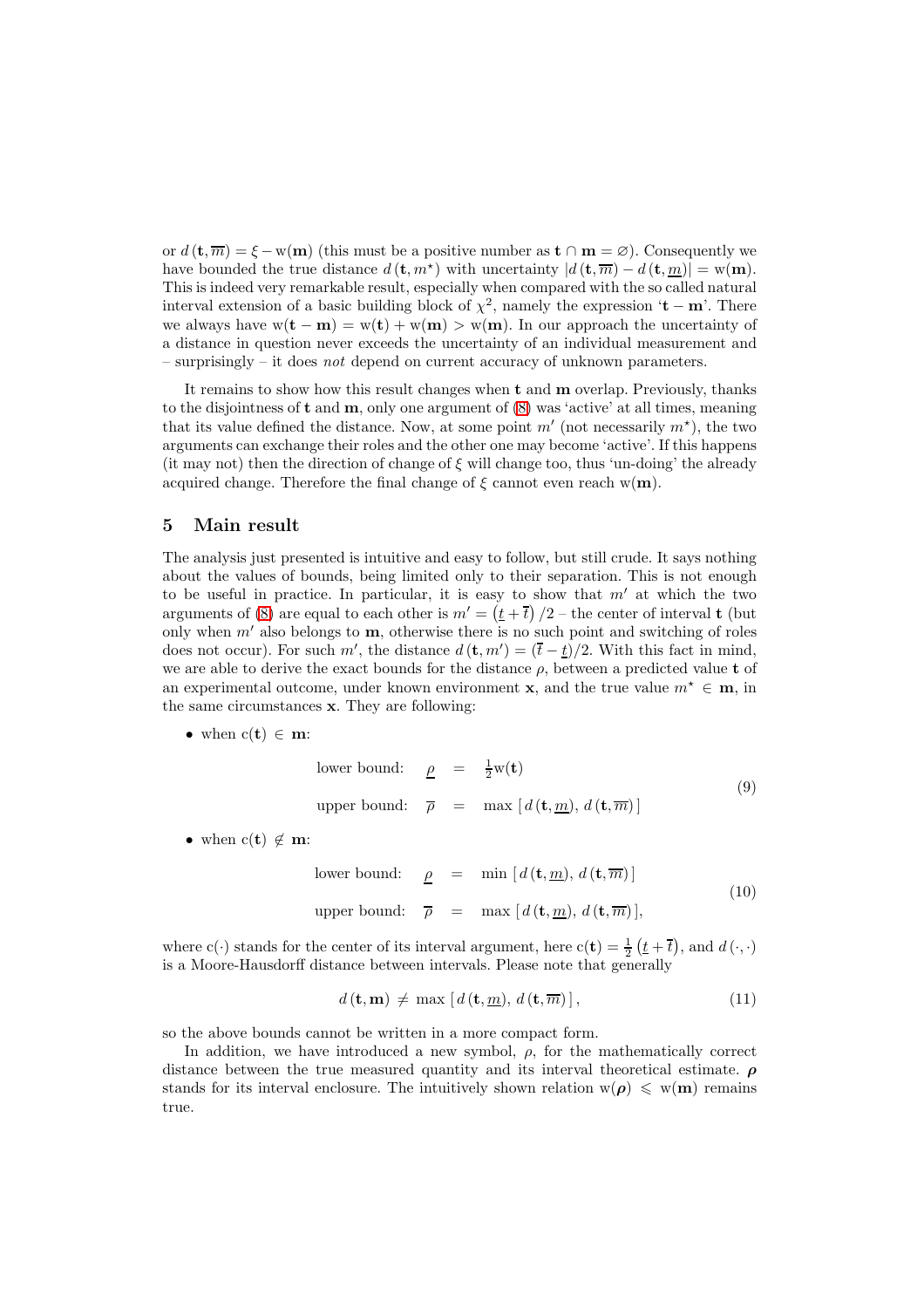or  $d(\mathbf{t}, \overline{m}) = \xi - w(\mathbf{m})$  (this must be a positive number as  $\mathbf{t} \cap \mathbf{m} = \emptyset$ ). Consequently we have bounded the true distance  $d(\mathbf{t}, m^*)$  with uncertainty  $|d(\mathbf{t}, \overline{m}) - d(\mathbf{t}, m)| = w(\mathbf{m})$ . This is indeed very remarkable result, especially when compared with the so called natural interval extension of a basic building block of  $\chi^2$ , namely the expression '**t** – **m**'. There we always have  $w(t - m) = w(t) + w(m) > w(m)$ . In our approach the uncertainty of a distance in question never exceeds the uncertainty of an individual measurement and  $-$  surprisingly  $-$  it does not depend on current accuracy of unknown parameters.

It remains to show how this result changes when  $t$  and  $m$  overlap. Previously, thanks to the disjointness of  $t$  and  $m$ , only one argument of  $(8)$  was 'active' at all times, meaning that its value defined the distance. Now, at some point  $m'$  (not necessarily  $m^*$ ), the two arguments can exchange their roles and the other one may become 'active'. If this happens (it may not) then the direction of change of  $\xi$  will change too, thus 'un-doing' the already acquired change. Therefore the final change of  $\xi$  cannot even reach w(m).

## 5 Main result

The analysis just presented is intuitive and easy to follow, but still crude. It says nothing about the values of bounds, being limited only to their separation. This is not enough to be useful in practice. In particular, it is easy to show that  $m'$  at which the two arguments of [\(8\)](#page-6-1) are equal to each other is  $m' = (t + \overline{t})/2$  – the center of interval **t** (but only when  $m'$  also belongs to  $m$ , otherwise there is no such point and switching of roles does not occur). For such m', the distance  $d(\mathbf{t}, m') = (\bar{t} - \bar{t})/2$ . With this fact in mind, we are able to derive the exact bounds for the distance  $\rho$ , between a predicted value t of an experimental outcome, under known environment **x**, and the true value  $m^* \in \mathbf{m}$ , in the same circumstances x. They are following:

• when  $c(t) \in m$ :

<span id="page-7-0"></span>lower bound: 
$$
\underline{\rho} = \frac{1}{2}w(\mathbf{t})
$$
  
upper bound:  $\overline{\rho} = \max [d(\mathbf{t}, \underline{m}), d(\mathbf{t}, \overline{m})]$  (9)

• when  $c(t) \notin \mathbf{m}$ :

<span id="page-7-1"></span>lower bound: 
$$
\underline{\rho} = \min [d(\mathbf{t}, \underline{m}), d(\mathbf{t}, \overline{m})]
$$
  
upper bound:  $\overline{\rho} = \max [d(\mathbf{t}, \underline{m}), d(\mathbf{t}, \overline{m})],$  (10)

where c(·) stands for the center of its interval argument, here  $c(t) = \frac{1}{2} (t + \overline{t})$ , and  $d(\cdot, \cdot)$ is a Moore-Hausdorff distance between intervals. Please note that generally

$$
d\left(\mathbf{t}, \mathbf{m}\right) \neq \max\left[d\left(\mathbf{t}, \underline{m}\right), d\left(\mathbf{t}, \overline{m}\right)\right],\tag{11}
$$

so the above bounds cannot be written in a more compact form.

In addition, we have introduced a new symbol,  $\rho$ , for the mathematically correct distance between the true measured quantity and its interval theoretical estimate.  $\rho$ stands for its interval enclosure. The intuitively shown relation  $w(\rho) \leq w(m)$  remains true.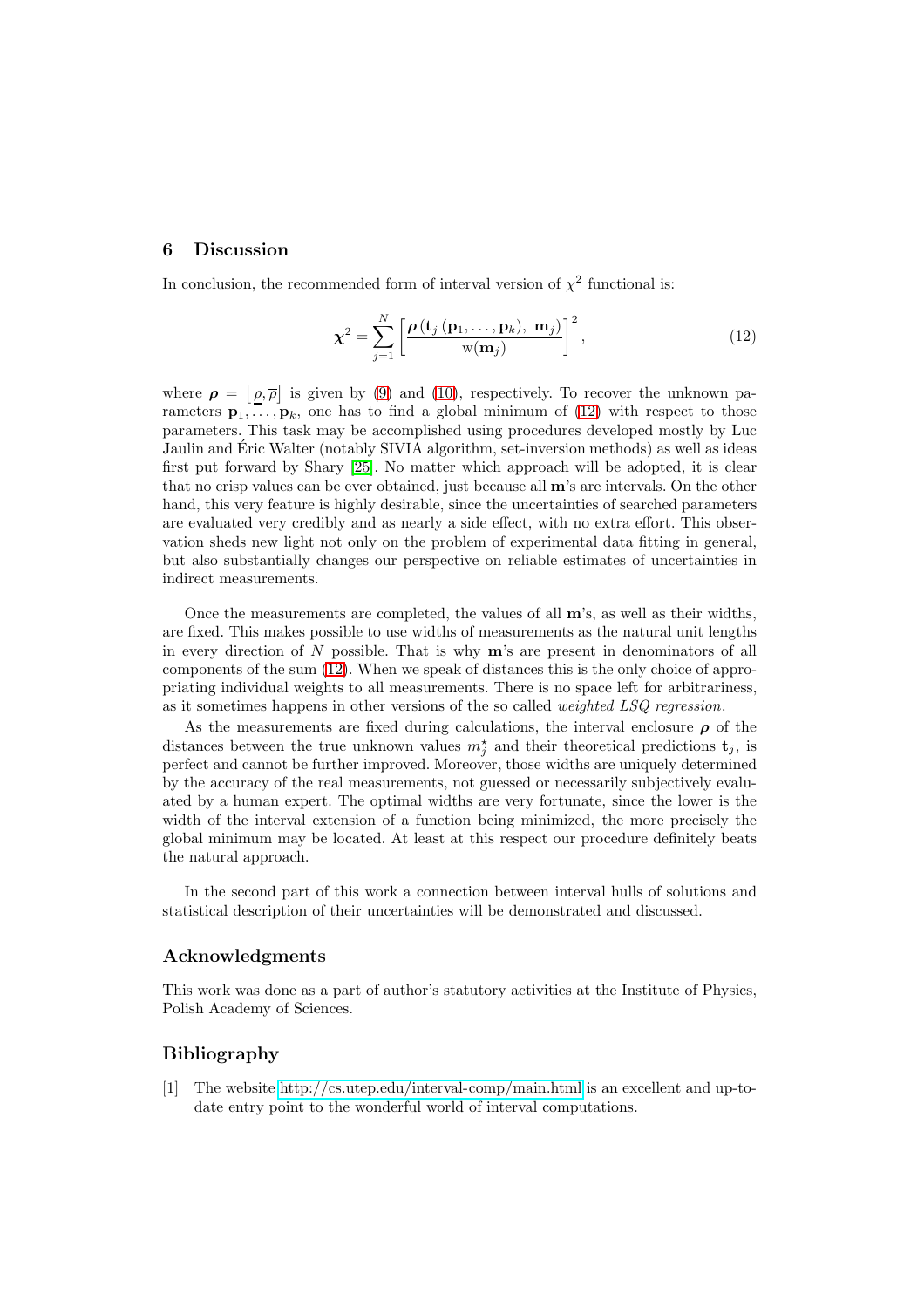## 6 Discussion

In conclusion, the recommended form of interval version of  $\chi^2$  functional is:

<span id="page-8-1"></span>
$$
\chi^{2} = \sum_{j=1}^{N} \left[ \frac{\rho\left(\mathbf{t}_{j} \left(\mathbf{p}_{1}, \ldots, \mathbf{p}_{k}\right), \mathbf{m}_{j}\right)}{\mathbf{w}(\mathbf{m}_{j})} \right]^{2}, \qquad (12)
$$

where  $\rho = [\rho, \overline{\rho}]$  is given by [\(9\)](#page-7-0) and [\(10\)](#page-7-1), respectively. To recover the unknown parameters  $\mathbf{p}_1, \ldots, \mathbf{p}_k$ , one has to find a global minimum of [\(12\)](#page-8-1) with respect to those parameters. This task may be accomplished using procedures developed mostly by Luc Jaulin and Éric Walter (notably SIVIA algorithm, set-inversion methods) as well as ideas first put forward by Shary [\[25\]](#page-10-8). No matter which approach will be adopted, it is clear that no crisp values can be ever obtained, just because all m's are intervals. On the other hand, this very feature is highly desirable, since the uncertainties of searched parameters are evaluated very credibly and as nearly a side effect, with no extra effort. This observation sheds new light not only on the problem of experimental data fitting in general, but also substantially changes our perspective on reliable estimates of uncertainties in indirect measurements.

Once the measurements are completed, the values of all  $\mathbf{m}$ 's, as well as their widths, are fixed. This makes possible to use widths of measurements as the natural unit lengths in every direction of  $N$  possible. That is why  $m$ 's are present in denominators of all components of the sum [\(12\)](#page-8-1). When we speak of distances this is the only choice of appropriating individual weights to all measurements. There is no space left for arbitrariness, as it sometimes happens in other versions of the so called weighted LSQ regression.

As the measurements are fixed during calculations, the interval enclosure  $\rho$  of the distances between the true unknown values  $m_j^*$  and their theoretical predictions  $\mathbf{t}_j$ , is perfect and cannot be further improved. Moreover, those widths are uniquely determined by the accuracy of the real measurements, not guessed or necessarily subjectively evaluated by a human expert. The optimal widths are very fortunate, since the lower is the width of the interval extension of a function being minimized, the more precisely the global minimum may be located. At least at this respect our procedure definitely beats the natural approach.

In the second part of this work a connection between interval hulls of solutions and statistical description of their uncertainties will be demonstrated and discussed.

#### Acknowledgments

This work was done as a part of author's statutory activities at the Institute of Physics, Polish Academy of Sciences.

## <span id="page-8-0"></span>Bibliography

[1] The website<http://cs.utep.edu/interval-comp/main.html> is an excellent and up-todate entry point to the wonderful world of interval computations.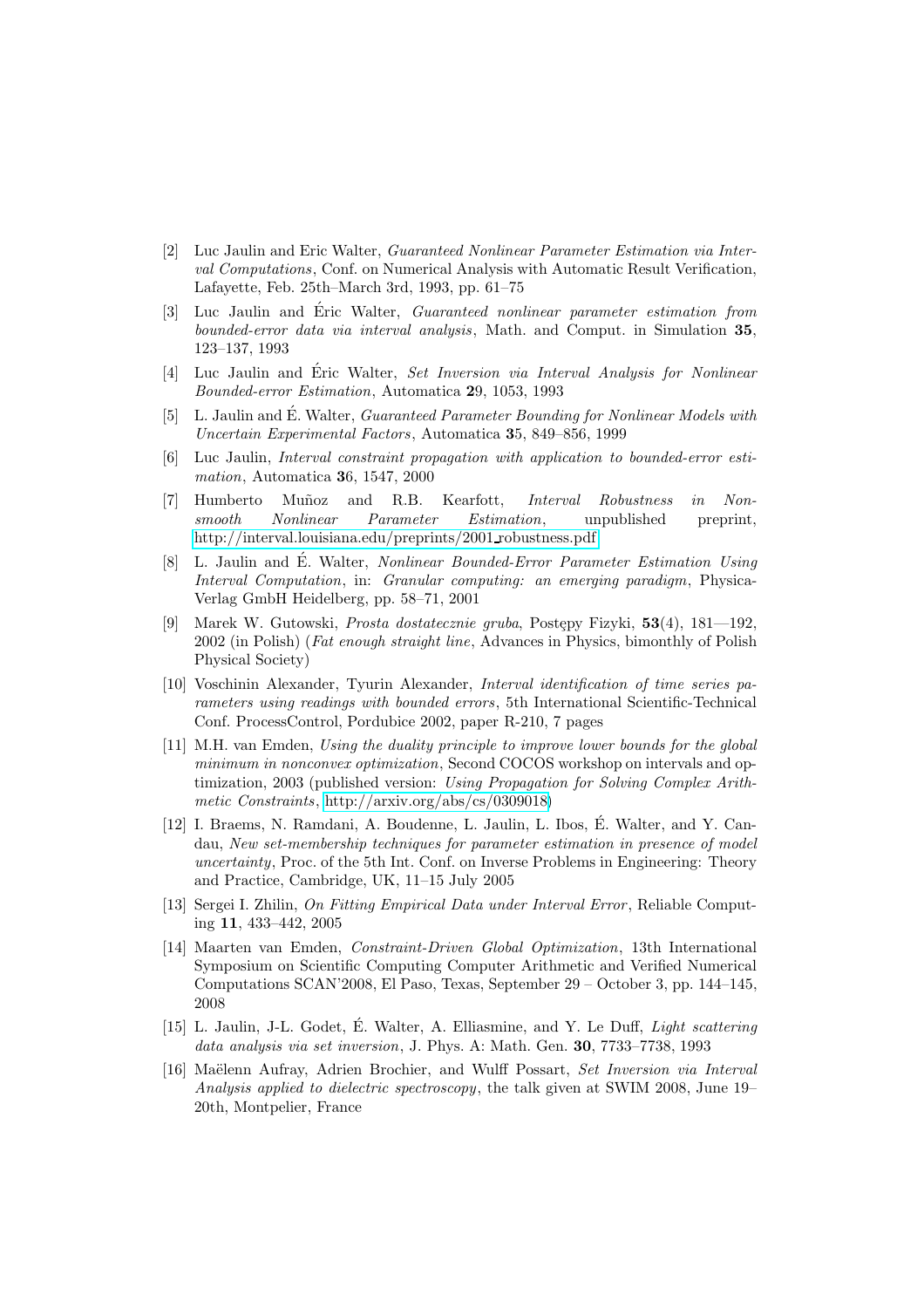- <span id="page-9-0"></span>[2] Luc Jaulin and Eric Walter, Guaranteed Nonlinear Parameter Estimation via Interval Computations, Conf. on Numerical Analysis with Automatic Result Verification, Lafayette, Feb. 25th–March 3rd, 1993, pp. 61–75
- [3] Luc Jaulin and Eric Walter, *Guaranteed nonlinear parameter estimation from* bounded-error data via interval analysis, Math. and Comput. in Simulation 35, 123–137, 1993
- [4] Luc Jaulin and Éric Walter, Set Inversion via Interval Analysis for Nonlinear Bounded-error Estimation, Automatica 29, 1053, 1993
- [5] L. Jaulin and É. Walter, *Guaranteed Parameter Bounding for Nonlinear Models with* Uncertain Experimental Factors, Automatica 35, 849–856, 1999
- [6] Luc Jaulin, Interval constraint propagation with application to bounded-error estimation, Automatica 36, 1547, 2000
- <span id="page-9-5"></span>[7] Humberto Muñoz and R.B. Kearfott, Interval Robustness in Nonsmooth Nonlinear Parameter Estimation, unpublished preprint, [http://interval.louisiana.edu/preprints/2001](http://interval.louisiana.edu/preprints/2001_robustness.pdf) robustness.pdf
- [8] L. Jaulin and É. Walter, *Nonlinear Bounded-Error Parameter Estimation Using* Interval Computation, in: Granular computing: an emerging paradigm, Physica-Verlag GmbH Heidelberg, pp. 58–71, 2001
- <span id="page-9-2"></span>[9] Marek W. Gutowski, *Prosta dostatecznie gruba*, Postepy Fizyki,  $53(4)$ ,  $181-192$ , 2002 (in Polish) (Fat enough straight line, Advances in Physics, bimonthly of Polish Physical Society)
- [10] Voschinin Alexander, Tyurin Alexander, Interval identification of time series parameters using readings with bounded errors, 5th International Scientific-Technical Conf. ProcessControl, Pordubice 2002, paper R-210, 7 pages
- [11] M.H. van Emden, Using the duality principle to improve lower bounds for the global minimum in nonconvex optimization, Second COCOS workshop on intervals and optimization, 2003 (published version: Using Propagation for Solving Complex Arithmetic Constraints, [http://arxiv.org/abs/cs/0309018\)](http://arxiv.org/abs/cs/0309018 )
- [12] I. Braems, N. Ramdani, A. Boudenne, L. Jaulin, L. Ibos, E. Walter, and Y. Can- ´ dau, New set-membership techniques for parameter estimation in presence of model uncertainty, Proc. of the 5th Int. Conf. on Inverse Problems in Engineering: Theory and Practice, Cambridge, UK, 11–15 July 2005
- <span id="page-9-6"></span>[13] Sergei I. Zhilin, On Fitting Empirical Data under Interval Error , Reliable Computing 11, 433–442, 2005
- <span id="page-9-1"></span>[14] Maarten van Emden, Constraint-Driven Global Optimization, 13th International Symposium on Scientific Computing Computer Arithmetic and Verified Numerical Computations SCAN'2008, El Paso, Texas, September 29 – October 3, pp. 144–145, 2008
- <span id="page-9-3"></span>[15] L. Jaulin, J-L. Godet, É. Walter, A. Elliasmine, and Y. Le Duff, Light scattering data analysis via set inversion, J. Phys. A: Math. Gen. 30, 7733–7738, 1993
- <span id="page-9-4"></span>[16] Maëlenn Aufray, Adrien Brochier, and Wulff Possart, Set Inversion via Interval Analysis applied to dielectric spectroscopy, the talk given at SWIM 2008, June 19– 20th, Montpelier, France